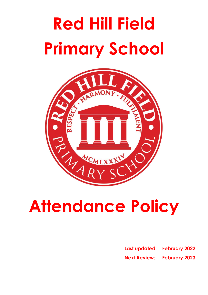# **Red Hill Field Primary School**



# **Attendance Policy**

**Last updated: February 2022 Next Review: February 2023**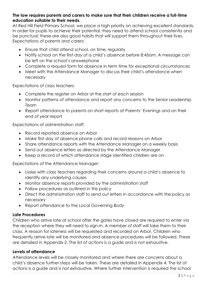#### **The law requires parents and carers to make sure that their children receive a full-time education suitable to their needs.**

At Red Hill Field Primary School, we place a high priority on achieving excellent standards. In order for pupils to achieve their potential, they need to attend school consistently and be punctual; these are also good habits that will support them throughout their lives. Expectations of parents and carers:

- Ensure that child attend school, on time, regularly
- Notify school on the first day of a child's absence before 8:45am. A message can be left on the school's answerphone
- Complete a request form for absence in term time for exceptional circumstances
- Meet with the Attendance Manager to discuss their child's attendance when necessary

Expectations of class teachers:

- Complete the register on Arbor at the start of each session
- Monitor patterns of attendance and report any concerns to the Senior Leadership Team
- Report attendance to parents on short reports at Parents' Evenings and on their end of year report

Expectations of administration staff:

- Record reported absence on Arbor
- Make first day of absence phone calls and record reasons on Arbor
- Share attendance reports with the Attendance Manager on a weekly basis
- Send out absence letters as directed by the Attendance Manager
- Keep a record of which attendance stage identified children are on

Expectations of the Attendance Manager:

- Liaise with class teachers regarding their concerns around a child's absence to identify any underlying causes
- Monitor absence reports provided by the administration staff
- Follow procedures as outlined in this policy
- Direct the administration staff to send out letters in accordance with the policy as necessary
- Report attendance to the Local Governing Body

#### **Late Procedures**

Children who arrive late at school after the gates have closed are required to enter via the reception where they will need to sign-in. A member of staff will take them to their class. A reason for lateness will be requested and recorded on Arbor. Children who frequently arrive late will be monitored and absence procedures will be followed. These are detailed in Appendix 2. The list of actions is a guide and is not exhaustive.

#### **Levels of attendance**

Attendance levels will be closely monitored and where there are concerns about a child's absence further steps will be taken. These are detailed in Appendix 4. The list of actions is a guide and is not exhaustive. Where further intervention is required the school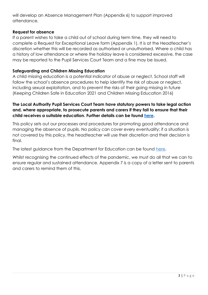will develop an Absence Management Plan (Appendix 6) to support improved attendance.

#### **Request for absence**

If a parent wishes to take a child out of school during term time, they will need to complete a Request for Exceptional Leave form (Appendix 1). It is at the Headteacher's discretion whether this will be recorded as authorised or unauthorised. Where a child has a history of low attendance or where the holiday leave is considered excessive, the case may be reported to the Pupil Services Court Team and a fine may be issued.

#### **Safeguarding and Children Missing Education**

A child missing education is a potential indicator of abuse or neglect. School staff will follow the school's absence procedures to help identify the risk of abuse or neglect, including sexual exploitation, and to prevent the risks of their going missing in future (Keeping Children Safe in Education 2021 and Children Missing Education 2016)

#### **The Local Authority Pupil Services Court Team have statutory powers to take legal action and, where appropriate, to prosecute parents and carers if they fail to ensure that their child receives a suitable education. Further details can be found [here.](https://resources.leicestershire.gov.uk/sites/default/files/field/pdf/2016/12/12/Court-Team-code-of-conduct.pdf)**

This policy sets out our processes and procedures for promoting good attendance and managing the absence of pupils. No policy can cover every eventuality; if a situation is not covered by this policy, the headteacher will use their discretion and their decision is final.

The latest guidance from the Department for Education can be found [here.](chrome-extension://efaidnbmnnnibpcajpcglclefindmkaj/viewer.html?pdfurl=https%3A%2F%2Fassets.publishing.service.gov.uk%2Fgovernment%2Fuploads%2Fsystem%2Fuploads%2Fattachment_data%2Ffile%2F1039223%2FSchool_attendance_guidance_for_2021_to_2022_academic_year.pdf&clen=267740&chunk=true)

Whilst recognising the continued effects of the pandemic, we must do all that we can to ensure regular and sustained attendance. Appendix 7 is a copy of a letter sent to parents and carers to remind them of this.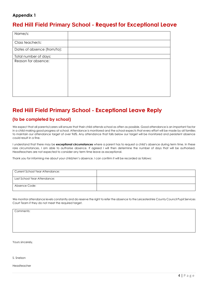#### **Appendix 1**

## **Red Hill Field Primary School - Request for Exceptional Leave**

| Name/s:                     |  |
|-----------------------------|--|
| Class teacher/s:            |  |
| Dates of absence (from/to): |  |
| Total number of days:       |  |
| Reason for absence:         |  |

# **Red Hill Field Primary School - Exceptional Leave Reply**

#### **(to be completed by school)**

We expect that all parents/carers will ensure that their child attends school as often as possible. Good attendance is an important factor in a child making good progress at school. Attendance is monitored and the school expects that every effort will be made by all families to maintain our attendance target of over 96%. Any attendance that falls below our target will be monitored and persistent absence could result in a fine.

I understand that there may be **exceptional circumstances** where a parent has to request a child's absence during term time. In these rare circumstances, I am able to authorise absence. If agreed I will then determine the number of days that will be authorised. Headteachers are not expected to consider any term time leave as exceptional.

Thank you for informing me about your child/ren's absence. I can confirm it will be recorded as follows:

| Current School Year Attendance: |  |
|---------------------------------|--|
| Last School Year Attendance:    |  |
| Absence Code:                   |  |

We monitor attendance levels constantly and do reserve the right to refer the absence to the Leicestershire County Council Pupil Services Court Team if they do not meet the required target.

Comments:

Yours sincerely,

S. Snelson

Headteacher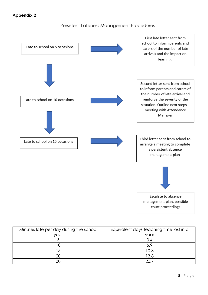#### **Appendix 2**

#### Persistent Lateness Management Procedures



| Minutes late per day during the school | Equivalent days teaching time lost in a |
|----------------------------------------|-----------------------------------------|
| vear                                   | vear                                    |
|                                        | 3.4                                     |
|                                        | 6.9                                     |
|                                        | 10.3                                    |
| 20                                     | 13.8                                    |
| ЗC                                     | $\cap \cap$ ,                           |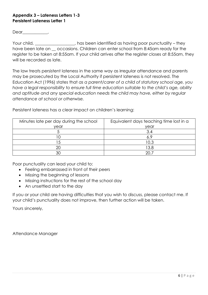#### **Appendix 3 – Lateness Letters 1-3 Persistent Lateness Letter 1**

Dear\_\_\_\_\_\_\_\_\_\_\_\_\_,

Your child, \_\_\_\_\_\_\_\_\_\_\_\_\_\_\_, has been identified as having poor punctuality – they have been late on cocasions. Children can enter school from 8:45am ready for the register to be taken at 8:55am. If your child arrives after the register closes at 8:55am, they will be recorded as late.

The law treats persistent lateness in the same way as irregular attendance and parents may be prosecuted by the Local Authority if persistent lateness is not resolved. The Education Act (1996) states that *as a parent/carer of a child of statutory school age, you have a legal responsibility to ensure full time education suitable to the child's age, ability and aptitude and any special education needs the child may have, either by regular attendance at school or otherwise.*

Persistent lateness has a clear impact on children's learning:

| Minutes late per day during the school | Equivalent days teaching time lost in a |  |
|----------------------------------------|-----------------------------------------|--|
| year                                   | year                                    |  |
|                                        | 3.4                                     |  |
|                                        | 6.9                                     |  |
|                                        | 10.3                                    |  |
| 20                                     | 13.8                                    |  |
| ЗC                                     | ാ∩.                                     |  |

Poor punctuality can lead your child to:

- Feeling embarrassed in front of their peers
- Missing the beginning of lessons
- Missing instructions for the rest of the school day
- An unsettled start to the day

If you or your child are having difficulties that you wish to discuss, please contact me. If your child's punctuality does not improve, then further action will be taken.

Yours sincerely,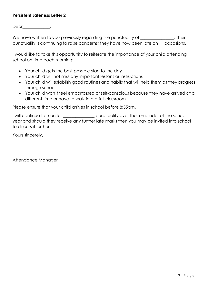#### **Persistent Lateness Letter 2**

Dear\_\_\_\_\_\_\_\_\_\_\_\_\_\_\_,

We have written to you previously regarding the punctuality of \_\_\_\_\_\_\_\_\_\_\_\_\_\_. Their punctuality is continuing to raise concerns; they have now been late on \_\_ occasions.

I would like to take this opportunity to reiterate the importance of your child attending school on time each morning:

- Your child gets the best possible start to the day
- Your child will not miss any important lessons or instructions
- Your child will establish good routines and habits that will help them as they progress through school
- Your child won't feel embarrassed or self-conscious because they have arrived at a different time or have to walk into a full classroom

Please ensure that your child arrives in school before 8:55am.

I will continue to monitor \_\_\_\_\_\_\_\_\_\_\_\_\_\_\_\_\_ punctuality over the remainder of the school year and should they receive any further late marks then you may be invited into school to discuss it further.

Yours sincerely,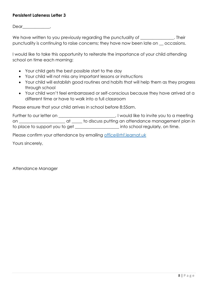#### **Persistent Lateness Letter 3**

Dear\_\_\_\_\_\_\_\_\_\_\_\_\_\_\_,

We have written to you previously regarding the punctuality of \_\_\_\_\_\_\_\_\_\_\_\_\_\_. Their punctuality is continuing to raise concerns; they have now been late on \_\_ occasions.

I would like to take this opportunity to reiterate the importance of your child attending school on time each morning:

- Your child gets the best possible start to the day
- Your child will not miss any important lessons or instructions
- Your child will establish good routines and habits that will help them as they progress through school
- Your child won't feel embarrassed or self-conscious because they have arrived at a different time or have to walk into a full classroom

Please ensure that your child arrives in school before 8:55am.

| Further to our letter on       | I would like to invite you to a meeting             |
|--------------------------------|-----------------------------------------------------|
| on                             | to discuss putting an attendance management plan in |
| to place to support you to get | into school regularly, on time.                     |

Please confirm your attendance by emailing [office@rhf.learnat.uk](mailto:office@rhf.learnat.uk)

Yours sincerely,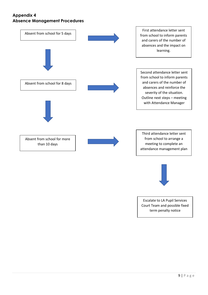#### **Appendix 4 Absence Management Procedures**





Escalate to LA Pupil Services Court Team and possible fixed term penalty notice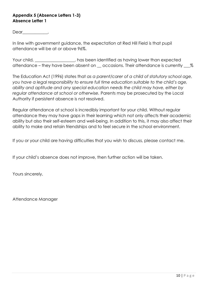#### **Appendix 5 (Absence Letters 1-3) Absence Letter 1**

Dear\_\_\_\_\_\_\_\_\_\_\_\_\_\_,

In line with government guidance, the expectation at Red Hill Field is that pupil attendance will be at or above 96%.

Your child, \_\_\_\_\_\_\_\_\_\_\_\_\_\_, has been identified as having lower than expected attendance – they have been absent on  $\_\$ occasions. Their attendance is currently  $\_\%$ 

The Education Act (1996) states that *as a parent/carer of a child of statutory school age, you have a legal responsibility to ensure full time education suitable to the child's age, ability and aptitude and any special education needs the child may have, either by regular attendance at school or otherwise.* Parents may be prosecuted by the Local Authority if persistent absence is not resolved.

Regular attendance at school is incredibly important for your child. Without regular attendance they may have gaps in their learning which not only affects their academic ability but also their self-esteem and well-being. In addition to this, it may also affect their ability to make and retain friendships and to feel secure in the school environment.

If you or your child are having difficulties that you wish to discuss, please contact me.

If your child's absence does not improve, then further action will be taken.

Yours sincerely,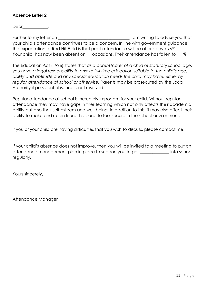#### **Absence Letter 2**

Dear\_\_\_\_\_\_\_\_\_\_\_\_,

Further to my letter on **Example 2018** The Muslim of the U am writing to advise you that your child's attendance continues to be a concern. In line with government guidance, the expectation at Red Hill Field is that pupil attendance will be at or above 96%. Your child, has now been absent on \_\_\_ occasions. Their attendance has fallen to \_\_\_ %

The Education Act (1996) states that *as a parent/carer of a child of statutory school age, you have a legal responsibility to ensure full time education suitable to the child's age, ability and aptitude and any special education needs the child may have, either by regular attendance at school or otherwise.* Parents may be prosecuted by the Local Authority if persistent absence is not resolved.

Regular attendance at school is incredibly important for your child. Without regular attendance they may have gaps in their learning which not only affects their academic ability but also their self-esteem and well-being. In addition to this, it may also affect their ability to make and retain friendships and to feel secure in the school environment.

If you or your child are having difficulties that you wish to discuss, please contact me.

If your child's absence does not improve, then you will be invited to a meeting to put an attendance management plan in place to support you to get \_\_\_\_\_\_\_\_\_\_\_\_\_\_ into school regularly.

Yours sincerely,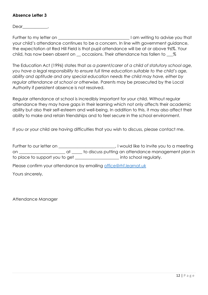#### **Absence Letter 3**

Dear\_\_\_\_\_\_\_\_\_\_\_\_,

Further to my letter on **Example 2018** The Muslim of the U am writing to advise you that your child's attendance continues to be a concern. In line with government guidance, the expectation at Red Hill Field is that pupil attendance will be at or above 96%. Your child, has now been absent on \_\_\_ occasions. Their attendance has fallen to \_\_\_ %

The Education Act (1996) states that *as a parent/carer of a child of statutory school age,*  you have a legal responsibility to ensure full time education suitable to the child's age, *ability and aptitude and any special education needs the child may have, either by regular attendance at school or otherwise.* Parents may be prosecuted by the Local Authority if persistent absence is not resolved.

Regular attendance at school is incredibly important for your child. Without regular attendance they may have gaps in their learning which not only affects their academic ability but also their self-esteem and well-being. In addition to this, it may also affect their ability to make and retain friendships and to feel secure in the school environment.

If you or your child are having difficulties that you wish to discuss, please contact me.

| Further to our letter on ________________                                                                              | I would like to invite you to a meeting             |
|------------------------------------------------------------------------------------------------------------------------|-----------------------------------------------------|
| at a<br>on and the contract of the contract of the contract of the contract of the contract of the contract of the con | to discuss putting an attendance management plan in |
| to place to support you to get __________________                                                                      | into school regularly.                              |
| Please confirm your attendance by emailing office@rhf.learnat.uk                                                       |                                                     |
| Yours sincerely,                                                                                                       |                                                     |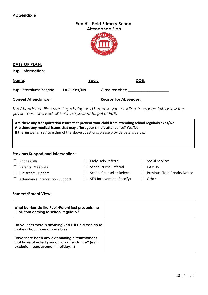| <b>Red Hill Field Primary School</b> |
|--------------------------------------|
| <b>Attendance Plan</b>               |



|                                                                                                                                                                                                                                                                               |                    | ARY.  |                                   |             |                                      |
|-------------------------------------------------------------------------------------------------------------------------------------------------------------------------------------------------------------------------------------------------------------------------------|--------------------|-------|-----------------------------------|-------------|--------------------------------------|
| DATE OF PLAN:                                                                                                                                                                                                                                                                 |                    |       |                                   |             |                                      |
| <b>Pupil Information:</b>                                                                                                                                                                                                                                                     |                    |       |                                   |             |                                      |
| Name:                                                                                                                                                                                                                                                                         |                    | Year: |                                   | <u>DOB:</u> |                                      |
| <b>Pupil Premium: Yes/No</b>                                                                                                                                                                                                                                                  | <b>LAC: Yes/No</b> |       | Class teacher: _________________  |             |                                      |
| Current Attendance: University Press, 2004                                                                                                                                                                                                                                    |                    |       |                                   |             |                                      |
| This Attendance Plan Meeting is being held because your child's attendance falls below the<br>government and Red Hill Field's expected target of 96%.                                                                                                                         |                    |       |                                   |             |                                      |
| Are there any transportation issues that prevent your child from attending school regularly? Yes/No<br>Are there any medical issues that may affect your child's attendance? Yes/No<br>If the answer is 'Yes' to either of the above questions, please provide details below: |                    |       |                                   |             |                                      |
| <b>Previous Support and Intervention:</b>                                                                                                                                                                                                                                     |                    |       |                                   |             |                                      |
| <b>Phone Calls</b>                                                                                                                                                                                                                                                            |                    |       | $\Box$ Early Help Referral        |             | <b>Social Services</b>               |
| <b>Parental Meetings</b>                                                                                                                                                                                                                                                      |                    |       | <b>School Nurse Referral</b>      |             | <b>CAMHS</b>                         |
| <b>Classroom Support</b>                                                                                                                                                                                                                                                      | $\Box$             |       | <b>School Counsellor Referral</b> |             | <b>Previous Fixed Penalty Notice</b> |
| Attendance Intervention Support                                                                                                                                                                                                                                               |                    |       | $\Box$ SEN Intervention (Specify) |             | Other                                |
| <b>Student/Parent View:</b>                                                                                                                                                                                                                                                   |                    |       |                                   |             |                                      |
| What barriers do the Pupil/Parent feel prevents the<br>Pupil from coming to school regularly?                                                                                                                                                                                 |                    |       |                                   |             |                                      |
| Do you feel there is anything Red Hill Field can do to<br>make school more accessible?                                                                                                                                                                                        |                    |       |                                   |             |                                      |
| Have there been any extenuating circumstances                                                                                                                                                                                                                                 |                    |       |                                   |             |                                      |

**that have affected your child's attendance? (e.g.,** 

**exclusion, bereavement, holiday…)**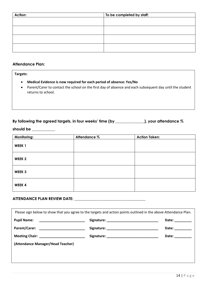| Action: | To be completed by staff: |
|---------|---------------------------|
|         |                           |
|         |                           |
|         |                           |
|         |                           |
|         |                           |
|         |                           |
|         |                           |
|         |                           |

#### **Attendance Plan:**

#### **Targets:**

- **Medical Evidence is now required for each period of absence: Yes/No**
- Parent/Carer to contact the school on the first day of absence and each subsequent day until the student returns to school.

| By following the agreed targets, in four weeks' time (by | _), your attendance $\%$ |
|----------------------------------------------------------|--------------------------|
|----------------------------------------------------------|--------------------------|

**should be \_\_\_\_\_\_\_\_\_\_\_\_**

| <b>Monitoring:</b> | Attendance % | <b>Action Taken:</b> |
|--------------------|--------------|----------------------|
| WEEK <sub>1</sub>  |              |                      |
| WEEK <sub>2</sub>  |              |                      |
| WEEK 3             |              |                      |
| WEEK 4             |              |                      |

### **ATTENDANCE PLAN REVIEW DATE: \_\_\_\_\_\_\_\_\_\_\_\_\_\_\_\_\_\_\_\_\_\_\_\_\_\_\_\_\_\_\_\_\_\_\_\_\_**

| Please sign below to show that you agree to the targets and action points outlined in the above Attendance Plan. |  |                  |  |  |
|------------------------------------------------------------------------------------------------------------------|--|------------------|--|--|
|                                                                                                                  |  | Date: _________  |  |  |
| Parent/Carer: ___________________________                                                                        |  | Date: __________ |  |  |
|                                                                                                                  |  | Date: Date:      |  |  |
| (Attendance Manager/Head Teacher)                                                                                |  |                  |  |  |
|                                                                                                                  |  |                  |  |  |
|                                                                                                                  |  |                  |  |  |
|                                                                                                                  |  |                  |  |  |